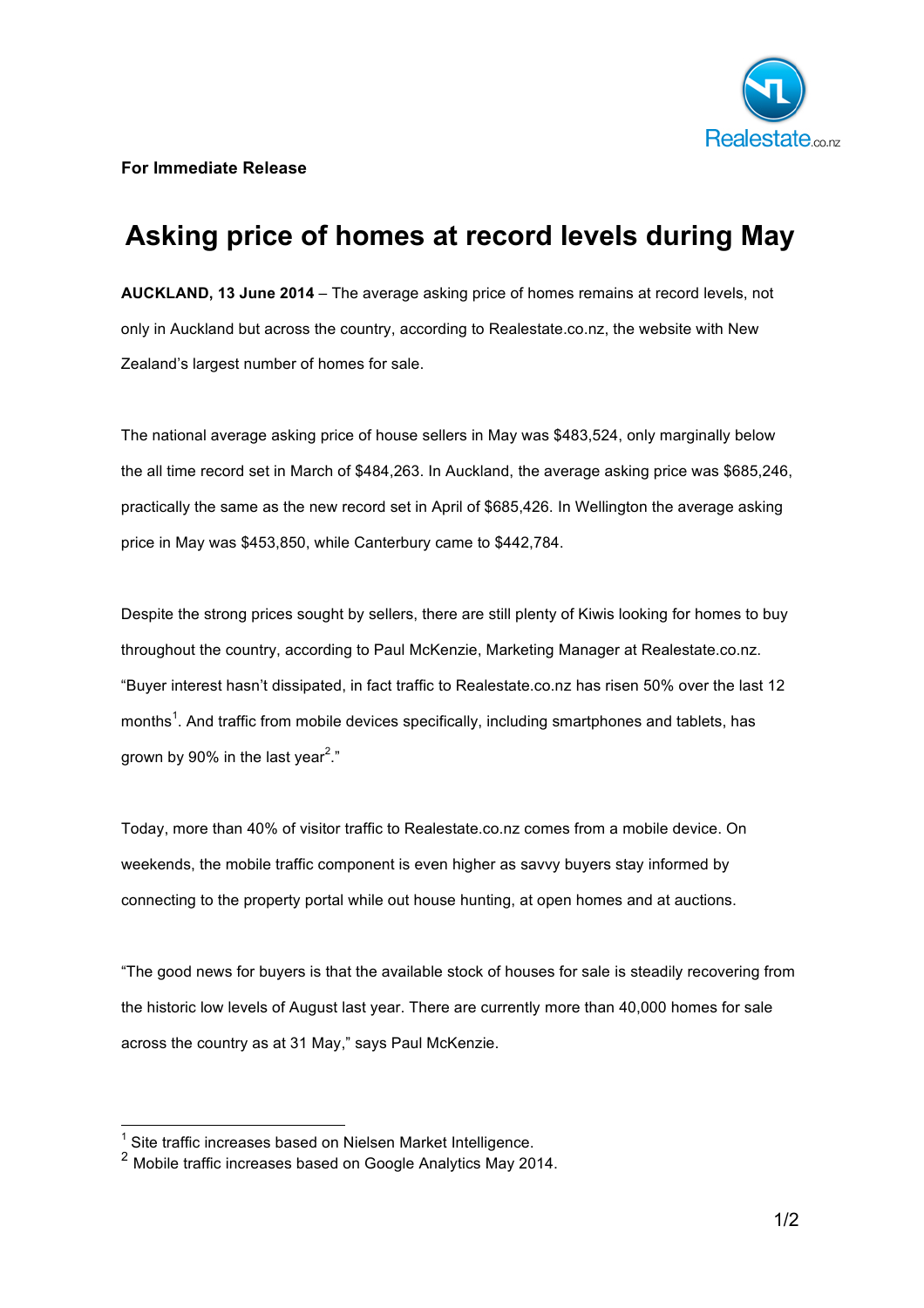

**For Immediate Release**

## **Asking price of homes at record levels during May**

**AUCKLAND, 13 June 2014** – The average asking price of homes remains at record levels, not only in Auckland but across the country, according to Realestate.co.nz, the website with New Zealand's largest number of homes for sale.

The national average asking price of house sellers in May was \$483,524, only marginally below the all time record set in March of \$484,263. In Auckland, the average asking price was \$685,246, practically the same as the new record set in April of \$685,426. In Wellington the average asking price in May was \$453,850, while Canterbury came to \$442,784.

Despite the strong prices sought by sellers, there are still plenty of Kiwis looking for homes to buy throughout the country, according to Paul McKenzie, Marketing Manager at Realestate.co.nz. "Buyer interest hasn't dissipated, in fact traffic to Realestate.co.nz has risen 50% over the last 12 months<sup>1</sup>. And traffic from mobile devices specifically, including smartphones and tablets, has grown by 90% in the last year $^{2}$ ."

Today, more than 40% of visitor traffic to Realestate.co.nz comes from a mobile device. On weekends, the mobile traffic component is even higher as savvy buyers stay informed by connecting to the property portal while out house hunting, at open homes and at auctions.

"The good news for buyers is that the available stock of houses for sale is steadily recovering from the historic low levels of August last year. There are currently more than 40,000 homes for sale across the country as at 31 May," says Paul McKenzie.

 $\frac{1}{2}$  Site traffic increases based on Nielsen Market Intelligence.<br>
2 Mobile traffic increases based on Google Analytics May 2014.